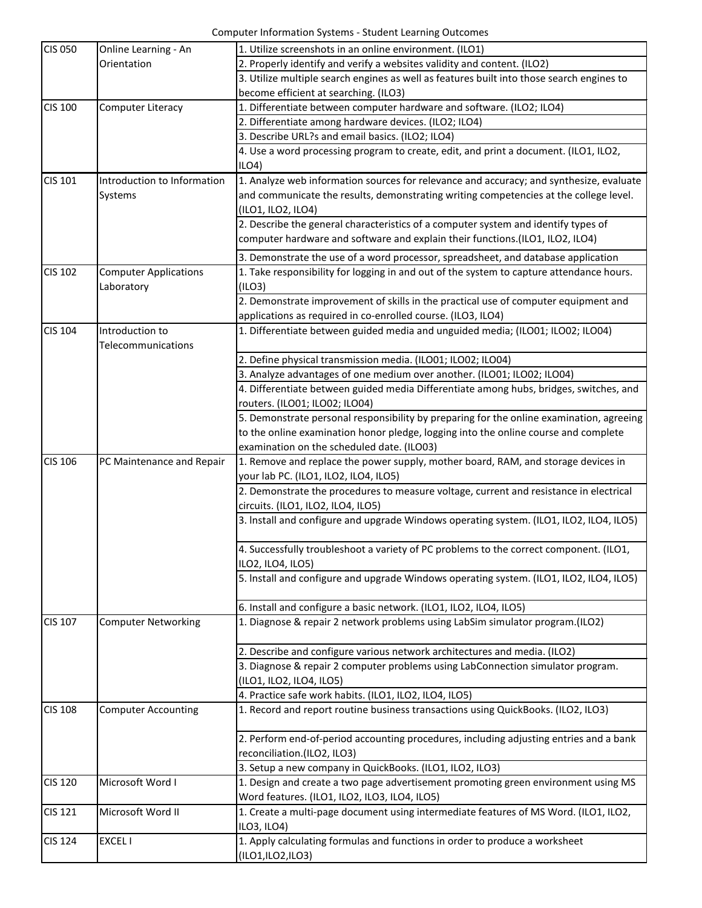Computer Information Systems - Student Learning Outcomes

| <b>CIS 050</b> | Online Learning - An                       | 1. Utilize screenshots in an online environment. (ILO1)                                                                    |
|----------------|--------------------------------------------|----------------------------------------------------------------------------------------------------------------------------|
|                | Orientation                                | 2. Properly identify and verify a websites validity and content. (ILO2)                                                    |
|                |                                            | 3. Utilize multiple search engines as well as features built into those search engines to                                  |
|                |                                            | become efficient at searching. (ILO3)                                                                                      |
| <b>CIS 100</b> | <b>Computer Literacy</b>                   | 1. Differentiate between computer hardware and software. (ILO2; ILO4)                                                      |
|                |                                            | 2. Differentiate among hardware devices. (ILO2; ILO4)                                                                      |
|                |                                            | 3. Describe URL?s and email basics. (ILO2; ILO4)                                                                           |
|                |                                            | 4. Use a word processing program to create, edit, and print a document. (ILO1, ILO2,<br>ILO4                               |
| CIS 101        | Introduction to Information                | 1. Analyze web information sources for relevance and accuracy; and synthesize, evaluate                                    |
|                | Systems                                    | and communicate the results, demonstrating writing competencies at the college level.                                      |
|                |                                            | (ILO1, ILO2, ILO4)                                                                                                         |
|                |                                            | 2. Describe the general characteristics of a computer system and identify types of                                         |
|                |                                            | computer hardware and software and explain their functions.(ILO1, ILO2, ILO4)                                              |
|                |                                            | 3. Demonstrate the use of a word processor, spreadsheet, and database application                                          |
| <b>CIS 102</b> | <b>Computer Applications</b><br>Laboratory | 1. Take responsibility for logging in and out of the system to capture attendance hours.<br>(ILO3)                         |
|                |                                            | 2. Demonstrate improvement of skills in the practical use of computer equipment and                                        |
|                |                                            | applications as required in co-enrolled course. (ILO3, ILO4)                                                               |
| <b>CIS 104</b> | Introduction to                            | 1. Differentiate between guided media and unguided media; (ILO01; ILO02; ILO04)                                            |
|                | Telecommunications                         |                                                                                                                            |
|                |                                            | 2. Define physical transmission media. (ILO01; ILO02; ILO04)                                                               |
|                |                                            | 3. Analyze advantages of one medium over another. (ILO01; ILO02; ILO04)                                                    |
|                |                                            | 4. Differentiate between guided media Differentiate among hubs, bridges, switches, and                                     |
|                |                                            | routers. (ILO01; ILO02; ILO04)                                                                                             |
|                |                                            | 5. Demonstrate personal responsibility by preparing for the online examination, agreeing                                   |
|                |                                            | to the online examination honor pledge, logging into the online course and complete                                        |
|                |                                            | examination on the scheduled date. (ILO03)                                                                                 |
| <b>CIS 106</b> | PC Maintenance and Repair                  | 1. Remove and replace the power supply, mother board, RAM, and storage devices in<br>your lab PC. (ILO1, ILO2, ILO4, ILO5) |
|                |                                            | 2. Demonstrate the procedures to measure voltage, current and resistance in electrical                                     |
|                |                                            | circuits. (ILO1, ILO2, ILO4, ILO5)                                                                                         |
|                |                                            | 3. Install and configure and upgrade Windows operating system. (ILO1, ILO2, ILO4, ILO5)                                    |
|                |                                            | 4. Successfully troubleshoot a variety of PC problems to the correct component. (ILO1,                                     |
|                |                                            | ILO2, ILO4, ILO5)                                                                                                          |
|                |                                            | 5. Install and configure and upgrade Windows operating system. (ILO1, ILO2, ILO4, ILO5)                                    |
|                |                                            | 6. Install and configure a basic network. (ILO1, ILO2, ILO4, ILO5)                                                         |
| <b>CIS 107</b> | <b>Computer Networking</b>                 | 1. Diagnose & repair 2 network problems using LabSim simulator program.(ILO2)                                              |
|                |                                            | 2. Describe and configure various network architectures and media. (ILO2)                                                  |
|                |                                            | 3. Diagnose & repair 2 computer problems using LabConnection simulator program.                                            |
|                |                                            | (ILO1, ILO2, ILO4, ILO5)                                                                                                   |
|                |                                            | 4. Practice safe work habits. (ILO1, ILO2, ILO4, ILO5)                                                                     |
| <b>CIS 108</b> | <b>Computer Accounting</b>                 | 1. Record and report routine business transactions using QuickBooks. (ILO2, ILO3)                                          |
|                |                                            | 2. Perform end-of-period accounting procedures, including adjusting entries and a bank                                     |
|                |                                            | reconciliation.(ILO2, ILO3)                                                                                                |
|                |                                            | 3. Setup a new company in QuickBooks. (ILO1, ILO2, ILO3)                                                                   |
| <b>CIS 120</b> | Microsoft Word I                           | 1. Design and create a two page advertisement promoting green environment using MS                                         |
|                |                                            | Word features. (ILO1, ILO2, ILO3, ILO4, ILO5)                                                                              |
| <b>CIS 121</b> | Microsoft Word II                          | 1. Create a multi-page document using intermediate features of MS Word. (ILO1, ILO2,<br>ILO3, ILO4)                        |
| <b>CIS 124</b> | <b>EXCELI</b>                              | 1. Apply calculating formulas and functions in order to produce a worksheet                                                |
|                |                                            | (ILO1,ILO2,ILO3)                                                                                                           |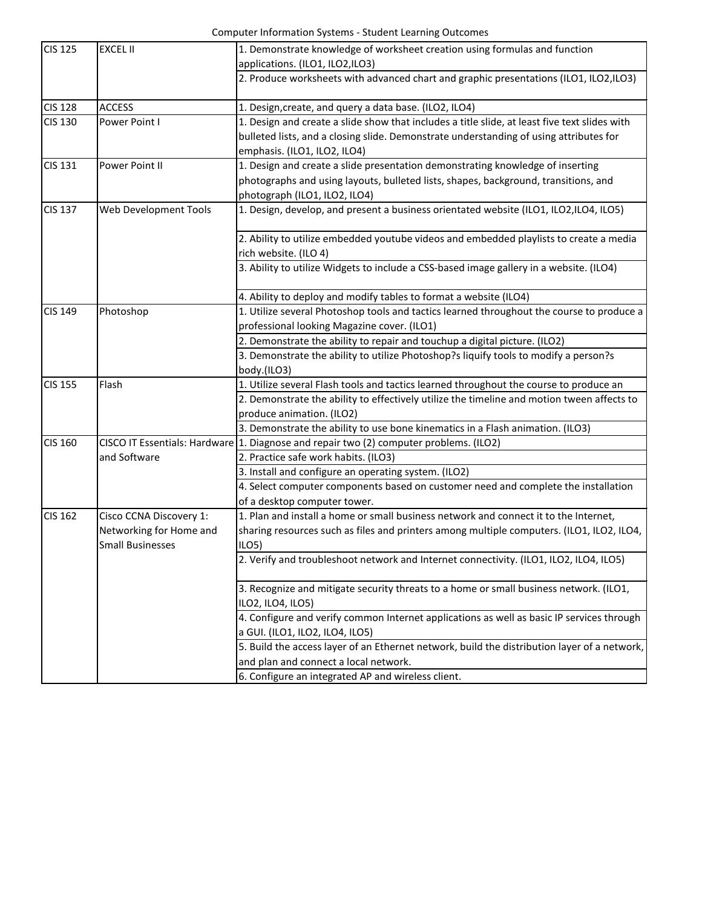Computer Information Systems - Student Learning Outcomes

| <b>CIS 125</b> | <b>EXCEL II</b>         | 1. Demonstrate knowledge of worksheet creation using formulas and function                    |
|----------------|-------------------------|-----------------------------------------------------------------------------------------------|
|                |                         | applications. (ILO1, ILO2, ILO3)                                                              |
|                |                         | 2. Produce worksheets with advanced chart and graphic presentations (ILO1, ILO2, ILO3)        |
| <b>CIS 128</b> | <b>ACCESS</b>           | 1. Design, create, and query a data base. (ILO2, ILO4)                                        |
| <b>CIS 130</b> | Power Point I           | 1. Design and create a slide show that includes a title slide, at least five text slides with |
|                |                         | bulleted lists, and a closing slide. Demonstrate understanding of using attributes for        |
|                |                         | emphasis. (ILO1, ILO2, ILO4)                                                                  |
| <b>CIS 131</b> | Power Point II          | 1. Design and create a slide presentation demonstrating knowledge of inserting                |
|                |                         | photographs and using layouts, bulleted lists, shapes, background, transitions, and           |
|                |                         | photograph (ILO1, ILO2, ILO4)                                                                 |
| <b>CIS 137</b> | Web Development Tools   | 1. Design, develop, and present a business orientated website (ILO1, ILO2,ILO4, ILO5)         |
|                |                         | 2. Ability to utilize embedded youtube videos and embedded playlists to create a media        |
|                |                         | rich website. (ILO 4)                                                                         |
|                |                         | 3. Ability to utilize Widgets to include a CSS-based image gallery in a website. (ILO4)       |
|                |                         |                                                                                               |
|                |                         | 4. Ability to deploy and modify tables to format a website (ILO4)                             |
| <b>CIS 149</b> | Photoshop               | 1. Utilize several Photoshop tools and tactics learned throughout the course to produce a     |
|                |                         | professional looking Magazine cover. (ILO1)                                                   |
|                |                         | 2. Demonstrate the ability to repair and touchup a digital picture. (ILO2)                    |
|                |                         | 3. Demonstrate the ability to utilize Photoshop?s liquify tools to modify a person?s          |
|                |                         | body.(ILO3)                                                                                   |
| <b>CIS 155</b> | Flash                   | 1. Utilize several Flash tools and tactics learned throughout the course to produce an        |
|                |                         | 2. Demonstrate the ability to effectively utilize the timeline and motion tween affects to    |
|                |                         | produce animation. (ILO2)                                                                     |
|                |                         | 3. Demonstrate the ability to use bone kinematics in a Flash animation. (ILO3)                |
| <b>CIS 160</b> |                         | CISCO IT Essentials: Hardware 1. Diagnose and repair two (2) computer problems. (ILO2)        |
|                | and Software            | 2. Practice safe work habits. (ILO3)                                                          |
|                |                         | 3. Install and configure an operating system. (ILO2)                                          |
|                |                         | 4. Select computer components based on customer need and complete the installation            |
|                |                         | of a desktop computer tower.                                                                  |
| <b>CIS 162</b> | Cisco CCNA Discovery 1: | 1. Plan and install a home or small business network and connect it to the Internet,          |
|                | Networking for Home and | sharing resources such as files and printers among multiple computers. (ILO1, ILO2, ILO4,     |
|                | <b>Small Businesses</b> | ILO <sub>5</sub>                                                                              |
|                |                         | 2. Verify and troubleshoot network and Internet connectivity. (ILO1, ILO2, ILO4, ILO5)        |
|                |                         |                                                                                               |
|                |                         | 3. Recognize and mitigate security threats to a home or small business network. (ILO1,        |
|                |                         | ILO2, ILO4, ILO5)                                                                             |
|                |                         | 4. Configure and verify common Internet applications as well as basic IP services through     |
|                |                         | a GUI. (ILO1, ILO2, ILO4, ILO5)                                                               |
|                |                         | 5. Build the access layer of an Ethernet network, build the distribution layer of a network,  |
|                |                         | and plan and connect a local network.                                                         |
|                |                         | 6. Configure an integrated AP and wireless client.                                            |
|                |                         |                                                                                               |